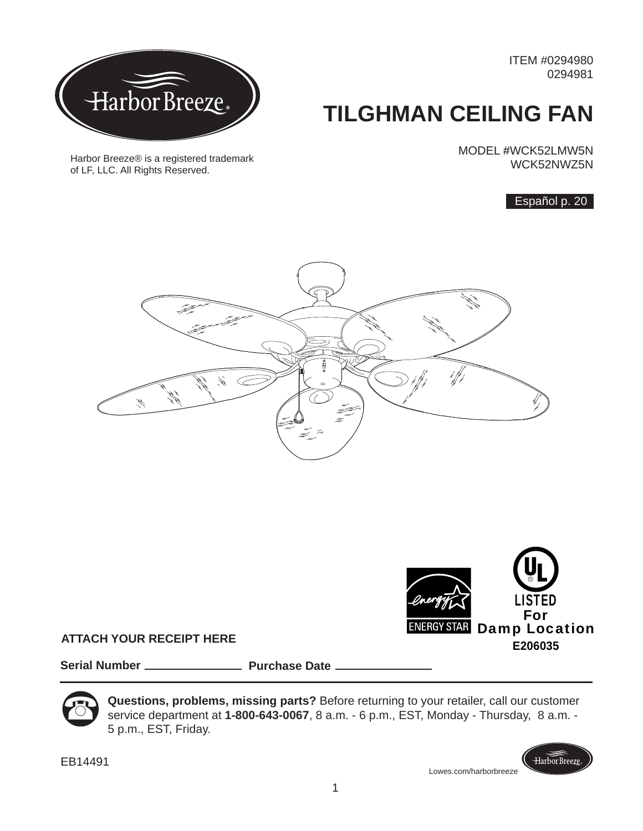ITEM #0294980 0294981

# **TILGHMAN CEILING FAN**

MODEL #WCK52LMW5N WCK52NWZ5N

Español p. 20





**ATTACH YOUR RECEIPT HERE**

**Serial Number Purchase Date Purchase Date** 



**Questions, problems, missing parts?** Before returning to your retailer, call our customer service department at **1-800-643-0067**, 8 a.m. - 6 p.m., EST, Monday - Thursday, 8 a.m. - 5 p.m., EST, Friday.

1

EB14491

Lowes.com/harborbreeze

Harbor Breeze







Harbor Breeze® is a registered trademark

of LF, LLC. All Rights Reserved.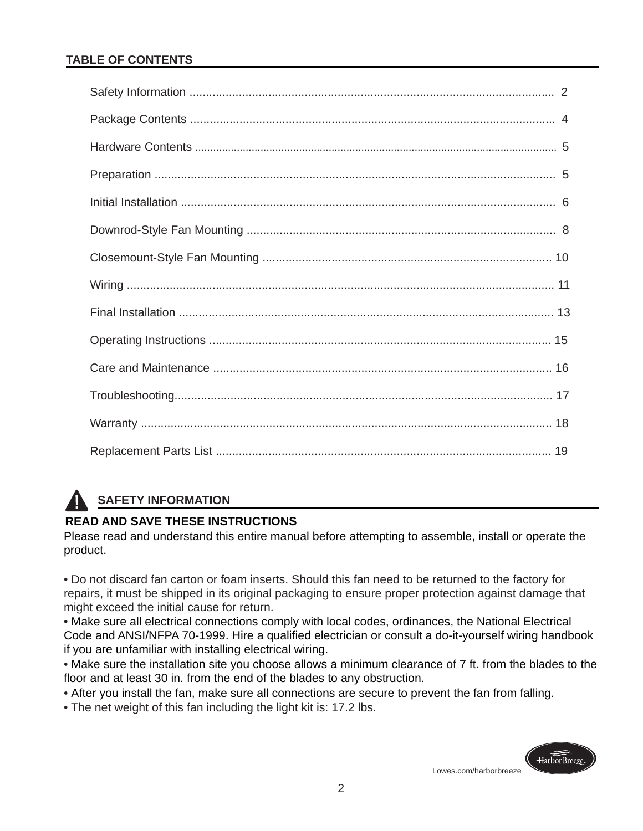# **TABLE OF CONTENTS**

# **SAFETY INFORMATION**

# **READ AND SAVE THESE INSTRUCTIONS**

Please read and understand this entire manual before attempting to assemble, install or operate the product.

• Do not discard fan carton or foam inserts. Should this fan need to be returned to the factory for repairs, it must be shipped in its original packaging to ensure proper protection against damage that might exceed the initial cause for return.

• Make sure all electrical connections comply with local codes, ordinances, the National Electrical Code and ANSI/NFPA 70-1999. Hire a qualified electrician or consult a do-it-yourself wiring handbook if you are unfamiliar with installing electrical wiring.

• Make sure the installation site you choose allows a minimum clearance of 7 ft. from the blades to the floor and at least 30 in. from the end of the blades to any obstruction.

- After you install the fan, make sure all connections are secure to prevent the fan from falling.
- The net weight of this fan including the light kit is: 17.2 lbs.

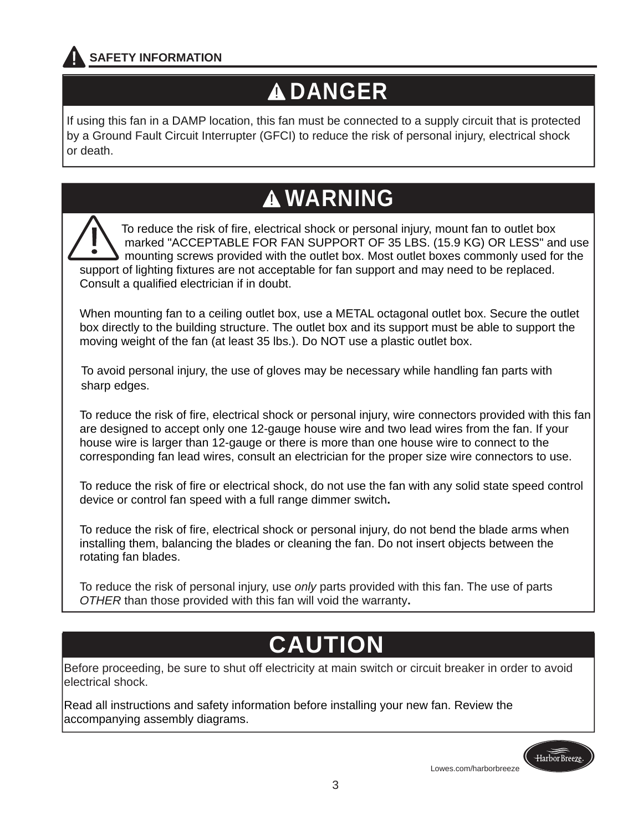

# **DANGER**

If using this fan in a DAMP location, this fan must be connected to a supply circuit that is protected by a Ground Fault Circuit Interrupter (GFCI) to reduce the risk of personal injury, electrical shock or death.

# **WARNING**

 To reduce the risk of fire, electrical shock or personal injury, mount fan to outlet box marked "ACCEPTABLE FOR FAN SUPPORT OF 35 LBS. (15.9 KG) OR LESS" and use mounting screws provided with the outlet box. Most outlet boxes commonly used for the support of lighting fixtures are not acceptable for fan support and may need to be replaced. Consult a qualified electrician if in doubt. I

When mounting fan to a ceiling outlet box, use a METAL octagonal outlet box. Secure the outlet box directly to the building structure. The outlet box and its support must be able to support the moving weight of the fan (at least 35 lbs.). Do NOT use a plastic outlet box.

 To avoid personal injury, the use of gloves may be necessary while handling fan parts with sharp edges.

To reduce the risk of fire, electrical shock or personal injury, wire connectors provided with this fan are designed to accept only one 12-gauge house wire and two lead wires from the fan. If your house wire is larger than 12-gauge or there is more than one house wire to connect to the corresponding fan lead wires, consult an electrician for the proper size wire connectors to use.

To reduce the risk of fire or electrical shock, do not use the fan with any solid state speed control device or control fan speed with a full range dimmer switch**.**

To reduce the risk of fire, electrical shock or personal injury, do not bend the blade arms when installing them, balancing the blades or cleaning the fan. Do not insert objects between the rotating fan blades.

To reduce the risk of personal injury, use *only* parts provided with this fan. The use of parts *OTHER* than those provided with this fan will void the warranty**.**

# **CAUTION**

Before proceeding, be sure to shut off electricity at main switch or circuit breaker in order to avoid electrical shock.

Read all instructions and safety information before installing your new fan. Review the accompanying assembly diagrams.

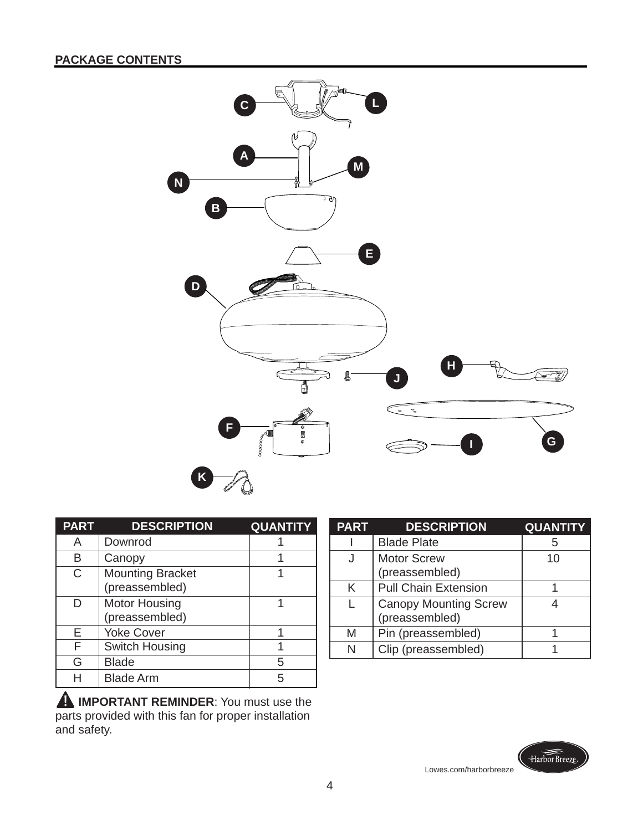

| <b>PART</b>  | <b>DESCRIPTION</b>                        | <b>QUANTITY</b> |
|--------------|-------------------------------------------|-----------------|
| A            | Downrod                                   |                 |
| в            | Canopy                                    |                 |
| $\mathsf{C}$ | <b>Mounting Bracket</b><br>(preassembled) |                 |
| D            | <b>Motor Housing</b><br>(preassembled)    |                 |
| E            | <b>Yoke Cover</b>                         |                 |
| F            | Switch Housing                            |                 |
| G            | <b>Blade</b>                              | 5               |
|              | <b>Blade Arm</b>                          |                 |

**IMPORTANT REMINDER:** You must use the parts provided with this fan for proper installation and safety.

| <b>PART</b> | <b>DESCRIPTION</b>           | <b>QUANTITY</b> |
|-------------|------------------------------|-----------------|
|             | <b>Blade Plate</b>           | 5               |
|             | <b>Motor Screw</b>           | 10              |
|             | (preassembled)               |                 |
| Κ           | <b>Pull Chain Extension</b>  |                 |
|             | <b>Canopy Mounting Screw</b> |                 |
|             | (preassembled)               |                 |
| M           | Pin (preassembled)           |                 |
| N           | Clip (preassembled)          |                 |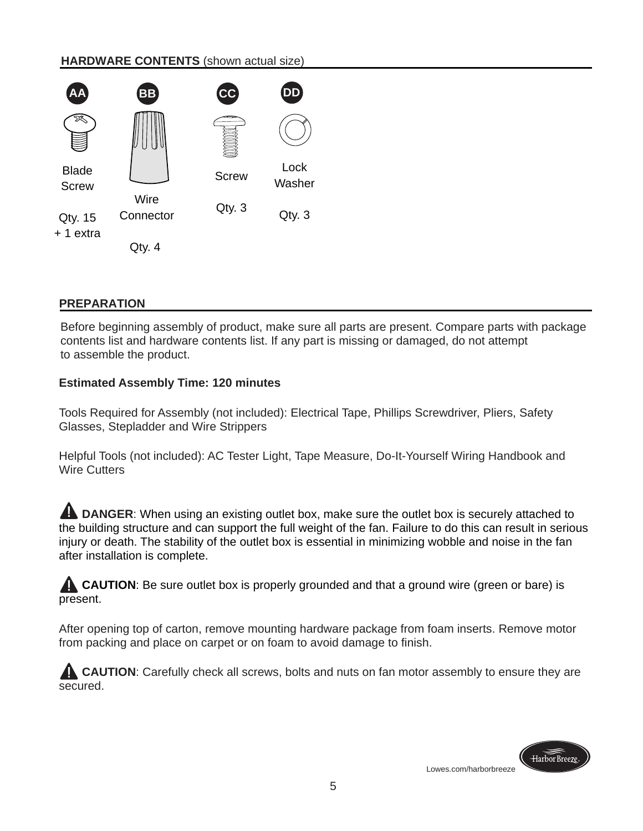### **HARDWARE CONTENTS** (shown actual size)



### **PREPARATION**

Before beginning assembly of product, make sure all parts are present. Compare parts with package contents list and hardware contents list. If any part is missing or damaged, do not attempt to assemble the product.

### **Estimated Assembly Time: 120 minutes**

Tools Required for Assembly (not included): Electrical Tape, Phillips Screwdriver, Pliers, Safety Glasses, Stepladder and Wire Strippers

Helpful Tools (not included): AC Tester Light, Tape Measure, Do-It-Yourself Wiring Handbook and Wire Cutters

**A DANGER:** When using an existing outlet box, make sure the outlet box is securely attached to the building structure and can support the full weight of the fan. Failure to do this can result in serious injury or death. The stability of the outlet box is essential in minimizing wobble and noise in the fan after installation is complete.

**CAUTION:** Be sure outlet box is properly grounded and that a ground wire (green or bare) is present.

After opening top of carton, remove mounting hardware package from foam inserts. Remove motor from packing and place on carpet or on foam to avoid damage to finish.

**CAUTION:** Carefully check all screws, bolts and nuts on fan motor assembly to ensure they are secured.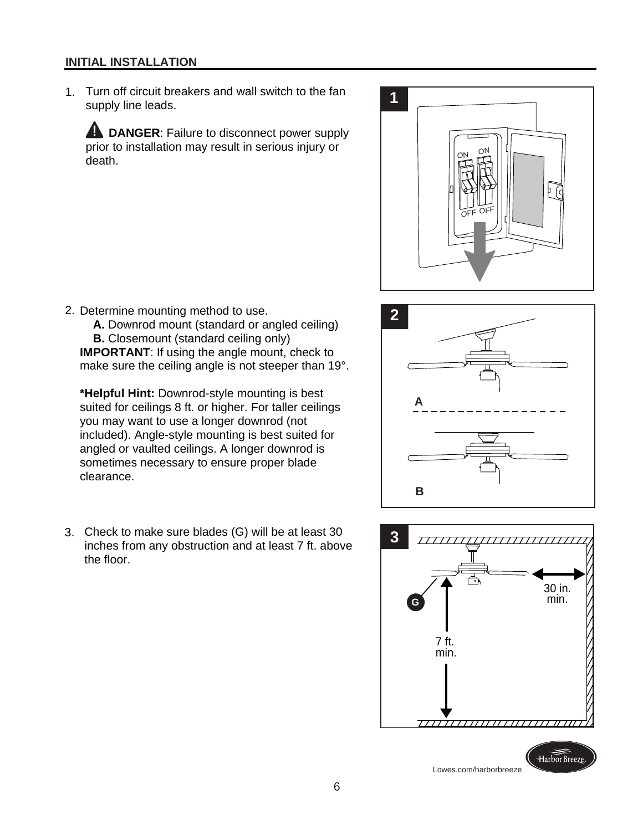#### **INITIAL INSTALLATION**

1. Turn off circuit breakers and wall switch to the fan supply line leads.

**A DANGER:** Failure to disconnect power supply prior to installation may result in serious injury or death.



2. Determine mounting method to use.

 **A.** Downrod mount (standard or angled ceiling) **B.** Closemount (standard ceiling only) **IMPORTANT:** If using the angle mount, check to make sure the ceiling angle is not steeper than 19°.

**\*Helpful Hint:** Downrod-style mounting is best suited for ceilings 8 ft. or higher. For taller ceilings you may want to use a longer downrod (not included). Angle-style mounting is best suited for angled or vaulted ceilings. A longer downrod is sometimes necessary to ensure proper blade clearance.

3. Check to make sure blades (G) will be at least 30 inches from any obstruction and at least 7 ft. above the floor.



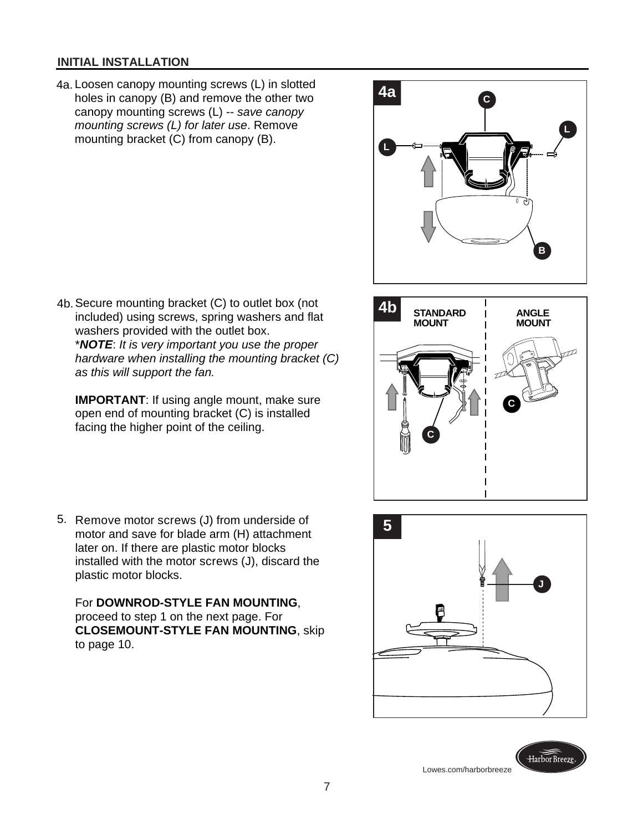#### **INITIAL INSTALLATION**

- 4a. Loosen canopy mounting screws (L) in slotted holes in canopy (B) and remove the other two canopy mounting screws (L) -- *save canopy mounting screws (L) for later use*. Remove mounting bracket (C) from canopy (B).
- **L C L B 4a**
- 4b. Secure mounting bracket (C) to outlet box (not included) using screws, spring washers and flat washers provided with the outlet box. \**NOTE*: *It is very important you use the proper hardware when installing the mounting bracket (C) as this will support the fan.*

**IMPORTANT:** If using angle mount, make sure open end of mounting bracket (C) is installed facing the higher point of the ceiling.

 5. Remove motor screws (J) from underside of motor and save for blade arm (H) attachment later on. If there are plastic motor blocks installed with the motor screws (J), discard the plastic motor blocks.

For **DOWNROD-STYLE FAN MOUNTING**, proceed to step 1 on the next page. For **CLOSEMOUNT-STYLE FAN MOUNTING**, skip to page 10.



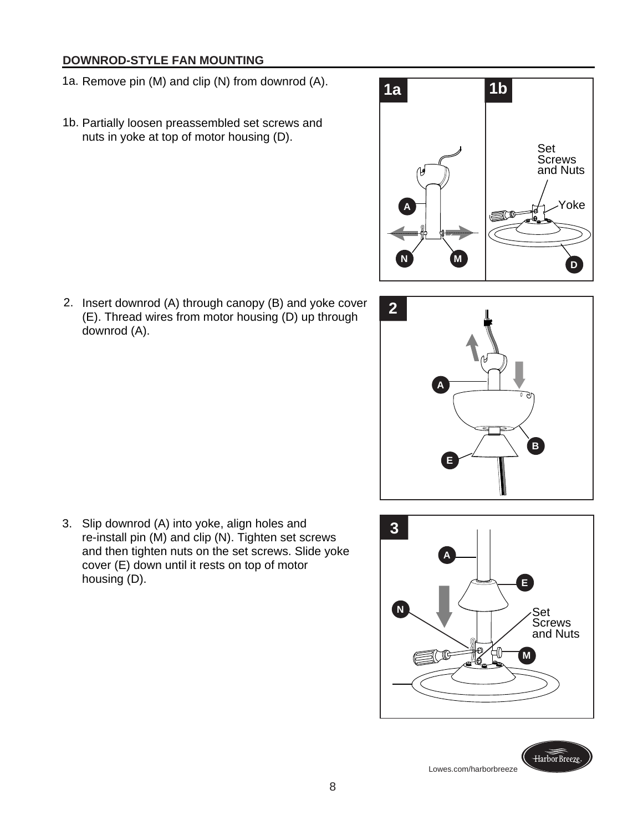# **DOWNROD-STYLE FAN MOUNTING**

- 1a. Remove pin (M) and clip (N) from downrod (A).
- 1b. Partially loosen preassembled set screws and nuts in yoke at top of motor housing (D).



 2. Insert downrod (A) through canopy (B) and yoke cover (E). Thread wires from motor housing (D) up through downrod (A).



 3. **3** Slip downrod (A) into yoke, align holes and re-install pin (M) and clip (N). Tighten set screws and then tighten nuts on the set screws. Slide yoke cover (E) down until it rests on top of motor housing (D).

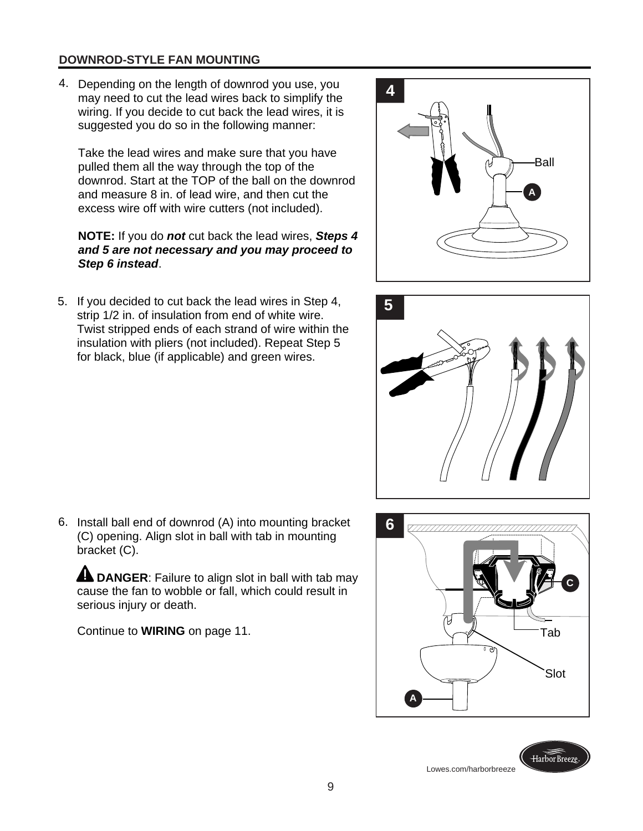# **DOWNROD-STYLE FAN MOUNTING**

Depending on the length of downrod you use, you 4. may need to cut the lead wires back to simplify the wiring. If you decide to cut back the lead wires, it is suggested you do so in the following manner:

Take the lead wires and make sure that you have pulled them all the way through the top of the downrod. Start at the TOP of the ball on the downrod and measure 8 in. of lead wire, and then cut the excess wire off with wire cutters (not included).

#### **NOTE:** If you do *not* cut back the lead wires, *Steps 4 and 5 are not necessary and you may proceed to Step 6 instead*.

If you decided to cut back the lead wires in Step 4, 5. **5** strip 1/2 in. of insulation from end of white wire. Twist stripped ends of each strand of wire within the insulation with pliers (not included). Repeat Step 5 for black, blue (if applicable) and green wires.





6. Install ball end of downrod (A) into mounting bracket (C) opening. Align slot in ball with tab in mounting bracket (C).

**A DANGER:** Failure to align slot in ball with tab may cause the fan to wobble or fall, which could result in serious injury or death.

Continue to **WIRING** on page 11.

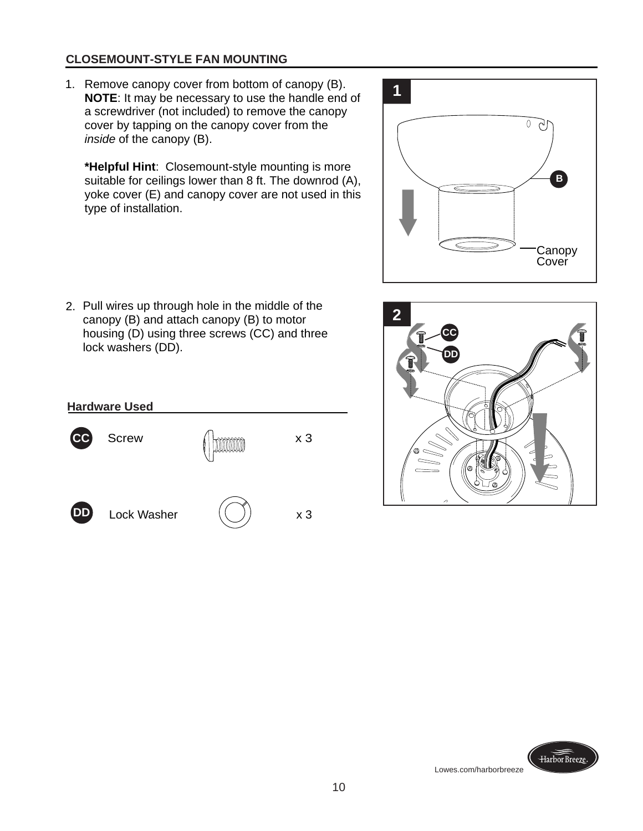# **CLOSEMOUNT-STYLE FAN MOUNTING**

1. Remove canopy cover from bottom of canopy (B). **NOTE**: It may be necessary to use the handle end of a screwdriver (not included) to remove the canopy cover by tapping on the canopy cover from the *inside* of the canopy (B).

**\*Helpful Hint**: Closemount-style mounting is more suitable for ceilings lower than 8 ft. The downrod (A), yoke cover (E) and canopy cover are not used in this type of installation.



2. Pull wires up through hole in the middle of the canopy (B) and attach canopy (B) to motor housing (D) using three screws (CC) and three lock washers (DD).



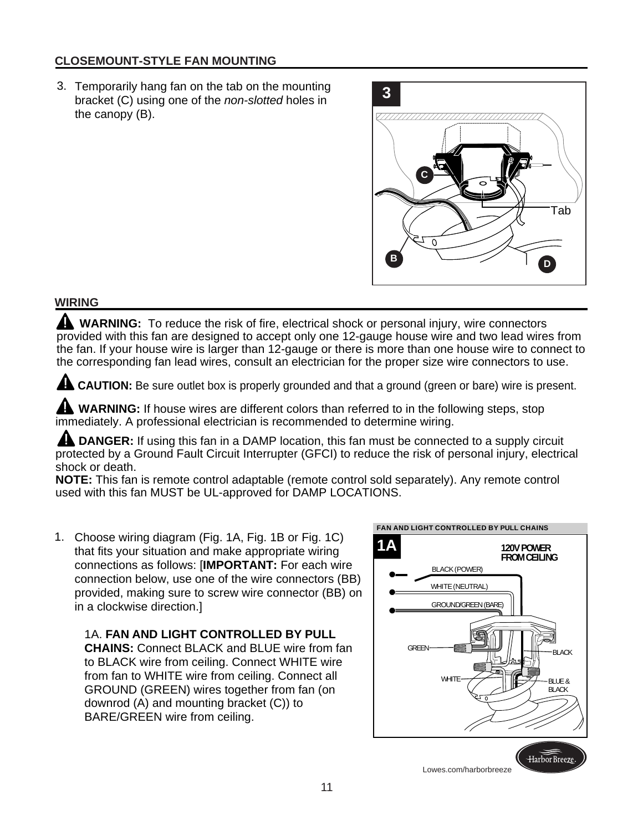# **CLOSEMOUNT-STYLE FAN MOUNTING**

3. Temporarily hang fan on the tab on the mounting bracket (C) using one of the *non-slotted* holes in the canopy (B).



### **WIRING**

 **WARNING:** To reduce the risk of fire, electrical shock or personal injury, wire connectors provided with this fan are designed to accept only one 12-gauge house wire and two lead wires from the fan. If your house wire is larger than 12-gauge or there is more than one house wire to connect to the corresponding fan lead wires, consult an electrician for the proper size wire connectors to use.

**CAUTION:** Be sure outlet box is properly grounded and that a ground (green or bare) wire is present.

**WARNING:** If house wires are different colors than referred to in the following steps, stop immediately. A professional electrician is recommended to determine wiring.

 **DANGER:** If using this fan in a DAMP location, this fan must be connected to a supply circuit protected by a Ground Fault Circuit Interrupter (GFCI) to reduce the risk of personal injury, electrical shock or death.

**NOTE:** This fan is remote control adaptable (remote control sold separately). Any remote control used with this fan MUST be UL-approved for DAMP LOCATIONS.

1. Choose wiring diagram (Fig. 1A, Fig. 1B or Fig. 1C) that fits your situation and make appropriate wiring connections as follows: [**IMPORTANT:** For each wire connection below, use one of the wire connectors (BB) provided, making sure to screw wire connector (BB) on in a clockwise direction.]

1A. **FAN AND LIGHT CONTROLLED BY PULL CHAINS:** Connect BLACK and BLUE wire from fan to BLACK wire from ceiling. Connect WHITE wire from fan to WHITE wire from ceiling. Connect all GROUND (GREEN) wires together from fan (on downrod (A) and mounting bracket (C)) to BARE/GREEN wire from ceiling.

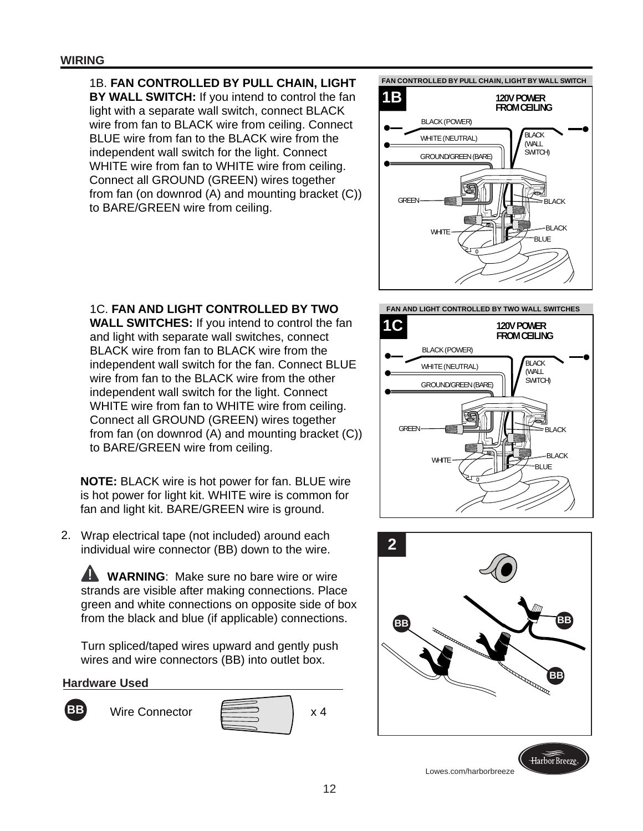# 1B. **FAN CONTROLLED BY PULL CHAIN, LIGHT**

**BY WALL SWITCH:** If you intend to control the fan light with a separate wall switch, connect BLACK wire from fan to BLACK wire from ceiling. Connect BLUE wire from fan to the BLACK wire from the independent wall switch for the light. Connect WHITE wire from fan to WHITE wire from ceiling. Connect all GROUND (GREEN) wires together from fan (on downrod (A) and mounting bracket (C)) to BARE/GREEN wire from ceiling.



# 1C. **FAN AND LIGHT CONTROLLED BY TWO**

**WALL SWITCHES:** If you intend to control the fan and light with separate wall switches, connect BLACK wire from fan to BLACK wire from the independent wall switch for the fan. Connect BLUE wire from fan to the BLACK wire from the other independent wall switch for the light. Connect WHITE wire from fan to WHITE wire from ceiling. Connect all GROUND (GREEN) wires together from fan (on downrod (A) and mounting bracket (C)) to BARE/GREEN wire from ceiling.

**NOTE:** BLACK wire is hot power for fan. BLUE wire is hot power for light kit. WHITE wire is common for fan and light kit. BARE/GREEN wire is ground.

Wrap electrical tape (not included) around each 2. individual wire connector (BB) down to the wire.

**WARNING:** Make sure no bare wire or wire strands are visible after making connections. Place green and white connections on opposite side of box from the black and blue (if applicable) connections.

Turn spliced/taped wires upward and gently push wires and wire connectors (BB) into outlet box.

#### **Hardware Used**









Lowes.com/harborbreeze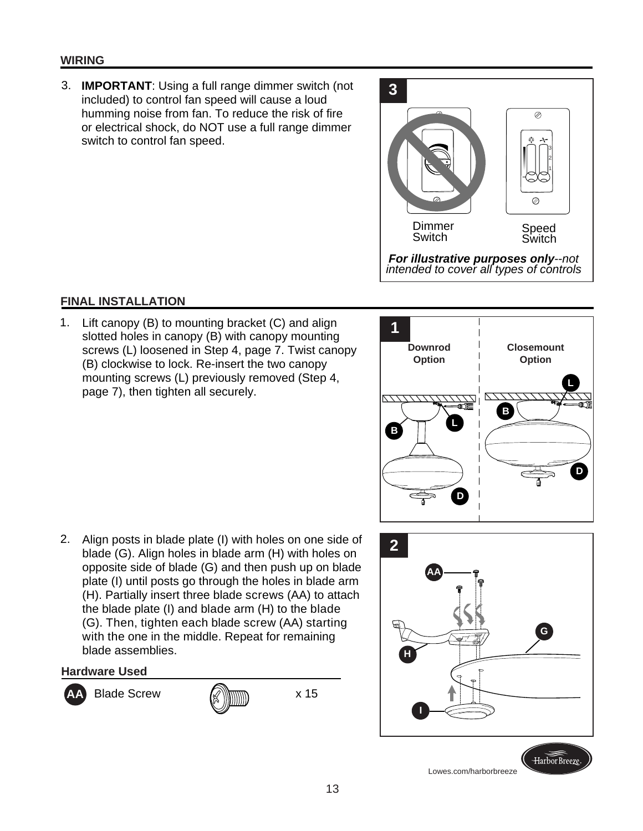### **WIRING**

**IMPORTANT**: Using a full range dimmer switch (not 3. included) to control fan speed will cause a loud humming noise from fan. To reduce the risk of fire or electrical shock, do NOT use a full range dimmer switch to control fan speed.



### **FINAL INSTALLATION**

1. Lift canopy (B) to mounting bracket (C) and align slotted holes in canopy (B) with canopy mounting screws (L) loosened in Step 4, page 7. Twist canopy (B) clockwise to lock. Re-insert the two canopy mounting screws (L) previously removed (Step 4, page 7), then tighten all securely.



 2. Align posts in blade plate (I) with holes on one side of blade (G). Align holes in blade arm (H) with holes on opposite side of blade (G) and then push up on blade plate (I) until posts go through the holes in blade arm (H). Partially insert three blade screws (AA) to attach the blade plate (I) and blade arm (H) to the blade (G). Then, tighten each blade screw (AA) starting with the one in the middle. Repeat for remaining blade assemblies.

**Hardware Used**



Blade Screw  $\mathbb{Q}$   $\mathbb{R}$  x 15







Lowes.com/harborbreeze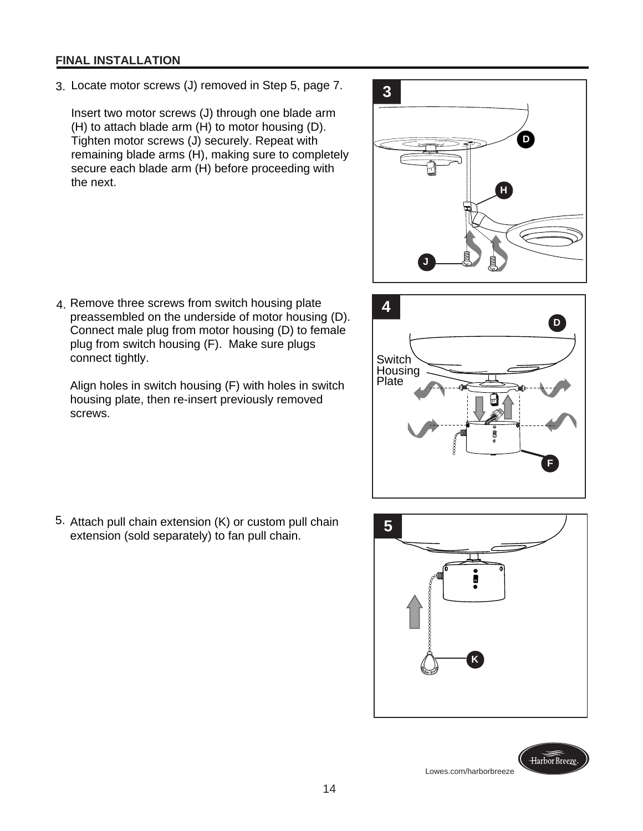#### **FINAL INSTALLATION**

3. Locate motor screws (J) removed in Step 5, page 7.

Insert two motor screws (J) through one blade arm (H) to attach blade arm (H) to motor housing (D). Tighten motor screws (J) securely. Repeat with remaining blade arms (H), making sure to completely secure each blade arm (H) before proceeding with the next.



 4. Remove three screws from switch housing plate preassembled on the underside of motor housing (D). Connect male plug from motor housing (D) to female plug from switch housing (F). Make sure plugs connect tightly.

Align holes in switch housing (F) with holes in switch housing plate, then re-insert previously removed screws.



5. Attach pull chain extension (K) or custom pull chain Attach pull chain extension (K) or custom pull chain<br>extension (sold separately) to fan pull chain.

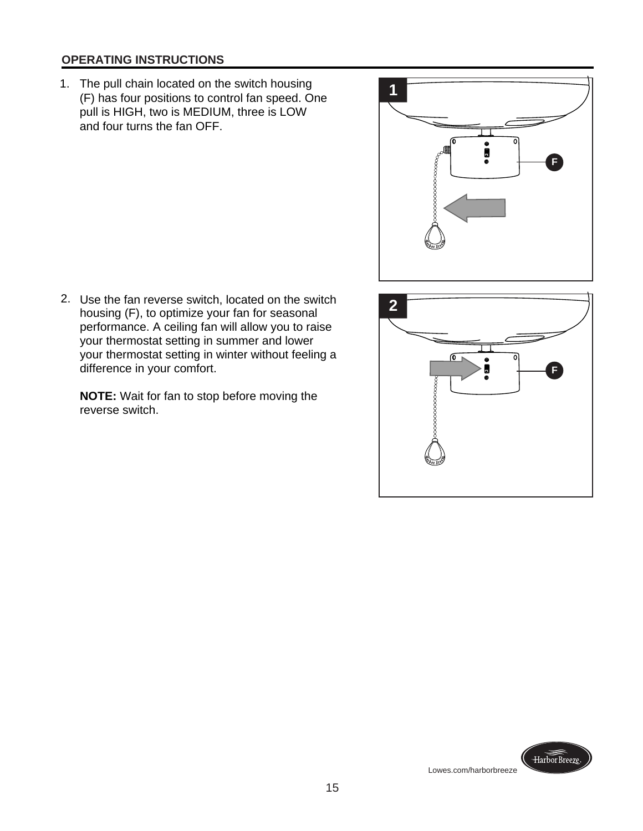### **OPERATING INSTRUCTIONS**

- 1. The pull chain located on the switch housing (F) has four positions to control fan speed. One pull is HIGH, two is MEDIUM, three is LOW and four turns the fan OFF.
- **1** ര  $\overline{\mathfrak{o}}$  $\bullet$  iii **F oooooooooooo**o
- 2. Use the fan reverse switch, located on the switch housing (F), to optimize your fan for seasonal performance. A ceiling fan will allow you to raise your thermostat setting in summer and lower your thermostat setting in winter without feeling a difference in your comfort.

**NOTE:** Wait for fan to stop before moving the reverse switch.

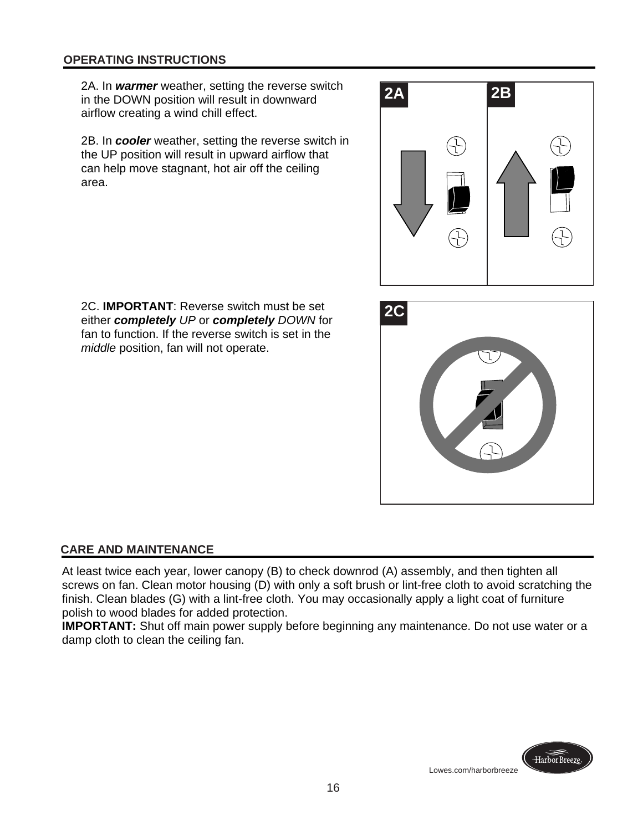2A. In *warmer* weather, setting the reverse switch in the DOWN position will result in downward airflow creating a wind chill effect.

 2B. In *cooler* weather, setting the reverse switch in the UP position will result in upward airflow that can help move stagnant, hot air off the ceiling area.



 2C. **IMPORTANT**: Reverse switch must be set either *completely UP* or *completely DOWN* for fan to function. If the reverse switch is set in the *middle* position, fan will not operate.



# **CARE AND MAINTENANCE**

At least twice each year, lower canopy (B) to check downrod (A) assembly, and then tighten all screws on fan. Clean motor housing (D) with only a soft brush or lint-free cloth to avoid scratching the finish. Clean blades (G) with a lint-free cloth. You may occasionally apply a light coat of furniture polish to wood blades for added protection.

**IMPORTANT:** Shut off main power supply before beginning any maintenance. Do not use water or a damp cloth to clean the ceiling fan.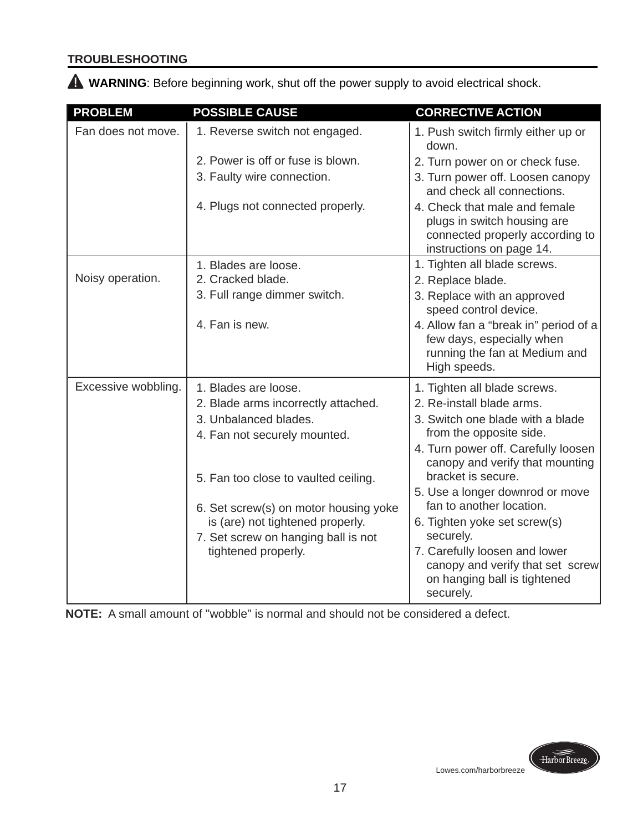# **TROUBLESHOOTING**

 **WARNING**: Before beginning work, shut off the power supply to avoid electrical shock.

| <b>PROBLEM</b>      | <b>POSSIBLE CAUSE</b>                 | <b>CORRECTIVE ACTION</b>                                                                                                    |
|---------------------|---------------------------------------|-----------------------------------------------------------------------------------------------------------------------------|
| Fan does not move.  | 1. Reverse switch not engaged.        | 1. Push switch firmly either up or<br>down.                                                                                 |
|                     | 2. Power is off or fuse is blown.     | 2. Turn power on or check fuse.                                                                                             |
|                     | 3. Faulty wire connection.            | 3. Turn power off. Loosen canopy<br>and check all connections.                                                              |
|                     | 4. Plugs not connected properly.      | 4. Check that male and female<br>plugs in switch housing are<br>connected properly according to<br>instructions on page 14. |
|                     | 1. Blades are loose.                  | 1. Tighten all blade screws.                                                                                                |
| Noisy operation.    | 2. Cracked blade.                     | 2. Replace blade.                                                                                                           |
|                     | 3. Full range dimmer switch.          | 3. Replace with an approved<br>speed control device.                                                                        |
|                     | 4. Fan is new.                        | 4. Allow fan a "break in" period of a<br>few days, especially when<br>running the fan at Medium and<br>High speeds.         |
| Excessive wobbling. | 1. Blades are loose.                  | 1. Tighten all blade screws.                                                                                                |
|                     | 2. Blade arms incorrectly attached.   | 2. Re-install blade arms.                                                                                                   |
|                     | 3. Unbalanced blades.                 | 3. Switch one blade with a blade                                                                                            |
|                     | 4. Fan not securely mounted.          | from the opposite side.                                                                                                     |
|                     |                                       | 4. Turn power off. Carefully loosen<br>canopy and verify that mounting<br>bracket is secure.                                |
|                     | 5. Fan too close to vaulted ceiling.  | 5. Use a longer downrod or move                                                                                             |
|                     | 6. Set screw(s) on motor housing yoke | fan to another location.                                                                                                    |
|                     | is (are) not tightened properly.      | 6. Tighten yoke set screw(s)                                                                                                |
|                     | 7. Set screw on hanging ball is not   | securely.                                                                                                                   |
|                     | tightened properly.                   | 7. Carefully loosen and lower<br>canopy and verify that set screw<br>on hanging ball is tightened<br>securely.              |

**NOTE:** A small amount of "wobble" is normal and should not be considered a defect.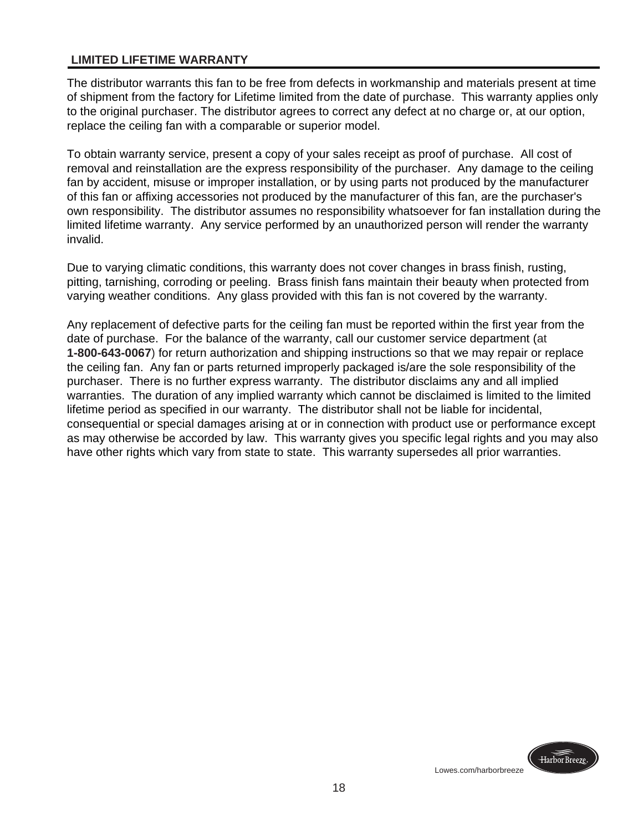#### **LIMITED LIFETIME WARRANTY**

The distributor warrants this fan to be free from defects in workmanship and materials present at time of shipment from the factory for Lifetime limited from the date of purchase. This warranty applies only to the original purchaser. The distributor agrees to correct any defect at no charge or, at our option, replace the ceiling fan with a comparable or superior model.

To obtain warranty service, present a copy of your sales receipt as proof of purchase. All cost of removal and reinstallation are the express responsibility of the purchaser. Any damage to the ceiling fan by accident, misuse or improper installation, or by using parts not produced by the manufacturer of this fan or affixing accessories not produced by the manufacturer of this fan, are the purchaser's own responsibility. The distributor assumes no responsibility whatsoever for fan installation during the limited lifetime warranty. Any service performed by an unauthorized person will render the warranty invalid.

Due to varying climatic conditions, this warranty does not cover changes in brass finish, rusting, pitting, tarnishing, corroding or peeling. Brass finish fans maintain their beauty when protected from varying weather conditions. Any glass provided with this fan is not covered by the warranty.

Any replacement of defective parts for the ceiling fan must be reported within the first year from the date of purchase. For the balance of the warranty, call our customer service department (at **1-800-643-0067**) for return authorization and shipping instructions so that we may repair or replace the ceiling fan. Any fan or parts returned improperly packaged is/are the sole responsibility of the purchaser. There is no further express warranty. The distributor disclaims any and all implied warranties. The duration of any implied warranty which cannot be disclaimed is limited to the limited lifetime period as specified in our warranty. The distributor shall not be liable for incidental, consequential or special damages arising at or in connection with product use or performance except as may otherwise be accorded by law. This warranty gives you specific legal rights and you may also have other rights which vary from state to state. This warranty supersedes all prior warranties.